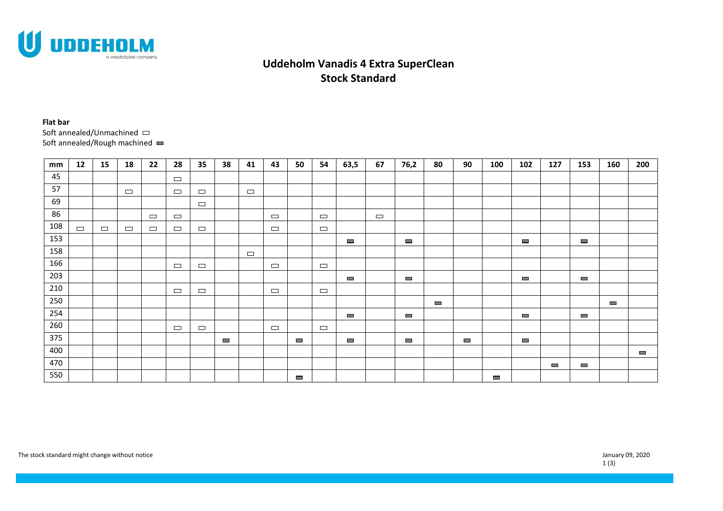

# **Uddeholm Vanadis 4 Extra SuperClean Stock Standard**

**Flat bar**

Soft annealed/Unmachined □ Soft annealed/Rough machined

| mm              | 12     | 15     | 18                   | 22                       | 28                   | 35                       | 38     | 41                   | 43                   | 50                         | 54                   | 63,5                     | 67     | 76,2                        | 80                       | 90                       | 100    | 102                      | 127                      | 153                      | 160    | 200    |
|-----------------|--------|--------|----------------------|--------------------------|----------------------|--------------------------|--------|----------------------|----------------------|----------------------------|----------------------|--------------------------|--------|-----------------------------|--------------------------|--------------------------|--------|--------------------------|--------------------------|--------------------------|--------|--------|
| 45              |        |        |                      |                          | $\qquad \qquad \Box$ |                          |        |                      |                      |                            |                      |                          |        |                             |                          |                          |        |                          |                          |                          |        |        |
| 57              |        |        | $\qquad \qquad \Box$ |                          | $\qquad \qquad \Box$ | $\Box$                   |        | $\qquad \qquad \Box$ |                      |                            |                      |                          |        |                             |                          |                          |        |                          |                          |                          |        |        |
| 69              |        |        |                      |                          |                      | $\Box$                   |        |                      |                      |                            |                      |                          |        |                             |                          |                          |        |                          |                          |                          |        |        |
| 86              |        |        |                      | $\overline{\phantom{a}}$ | $\Box$               |                          |        |                      | $\Box$               |                            | $\Box$               |                          | $\Box$ |                             |                          |                          |        |                          |                          |                          |        |        |
| 108             | $\Box$ | $\Box$ | $\Box$               | $\Box$                   | $\Box$               | $\Box$                   |        |                      | $\qquad \qquad \Box$ |                            | $\qquad \qquad \Box$ |                          |        |                             |                          |                          |        |                          |                          |                          |        |        |
| 153             |        |        |                      |                          |                      |                          |        |                      |                      |                            |                      | $\sim$                   |        | $\overline{\phantom{a}}$    |                          |                          |        | $\sim$                   |                          | $\sim$                   |        |        |
| 158             |        |        |                      |                          |                      |                          |        | $\Box$               |                      |                            |                      |                          |        |                             |                          |                          |        |                          |                          |                          |        |        |
| 166             |        |        |                      |                          | $\Box$               | $\overline{\phantom{a}}$ |        |                      | $\Box$               |                            | $\Box$               |                          |        |                             |                          |                          |        |                          |                          |                          |        |        |
| 203             |        |        |                      |                          |                      |                          |        |                      |                      |                            |                      | $\overline{\phantom{a}}$ |        | $\overline{\phantom{a}}$    |                          |                          |        | $\overline{\phantom{a}}$ |                          | $\overline{\phantom{a}}$ |        |        |
| 210             |        |        |                      |                          | $\Box$               | $\Box$                   |        |                      | $\Box$               |                            | $\Box$               |                          |        |                             |                          |                          |        |                          |                          |                          |        |        |
| 250             |        |        |                      |                          |                      |                          |        |                      |                      |                            |                      |                          |        |                             | $\overline{\phantom{a}}$ |                          |        |                          |                          |                          | $\sim$ |        |
| 254             |        |        |                      |                          |                      |                          |        |                      |                      |                            |                      | $\overline{\phantom{a}}$ |        | $\mathcal{L}_{\mathcal{A}}$ |                          |                          |        | $\overline{\phantom{a}}$ |                          | $\overline{\phantom{a}}$ |        |        |
| 260             |        |        |                      |                          | $\Box$               | $\qquad \qquad \Box$     |        |                      | $\Box$               |                            | $\qquad \qquad \Box$ |                          |        |                             |                          |                          |        |                          |                          |                          |        |        |
| $\frac{1}{375}$ |        |        |                      |                          |                      |                          | $\sim$ |                      |                      | $\sim$                     |                      | $\overline{\phantom{0}}$ |        | $\sim$                      |                          | $\overline{\phantom{a}}$ |        | $\overline{\phantom{a}}$ |                          |                          |        |        |
| 400             |        |        |                      |                          |                      |                          |        |                      |                      |                            |                      |                          |        |                             |                          |                          |        |                          |                          |                          |        | $\sim$ |
| 470             |        |        |                      |                          |                      |                          |        |                      |                      |                            |                      |                          |        |                             |                          |                          |        |                          | $\overline{\phantom{a}}$ | $\sim$                   |        |        |
| 550             |        |        |                      |                          |                      |                          |        |                      |                      | $\mathcal{L}_{\text{max}}$ |                      |                          |        |                             |                          |                          | $\Box$ |                          |                          |                          |        |        |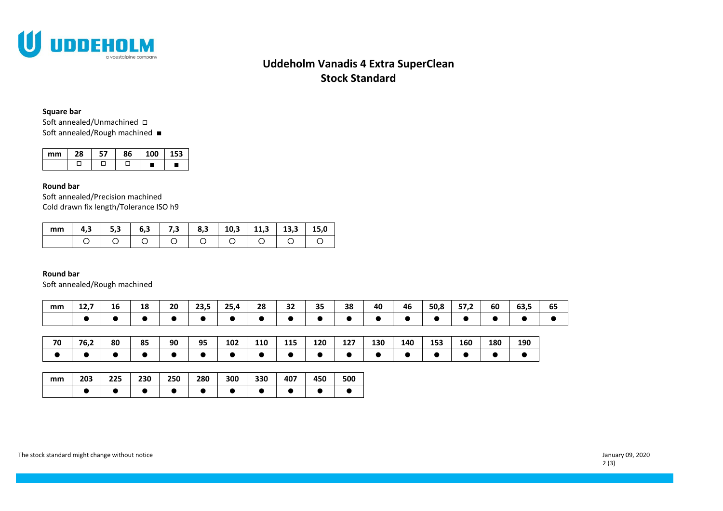

## **Uddeholm Vanadis 4 Extra SuperClean Stock Standard**

### **Square bar**

Soft annealed/Unmachined □ Soft annealed/Rough machined ■

| mm | 28 | 86 | 100 | 153 |
|----|----|----|-----|-----|
|    |    |    |     |     |

### **Round bar**

Soft annealed/Precision machined Cold drawn fix length/Tolerance ISO h9

| mm |  |                |  |          | $4,3$   5,3   6,3   7,3   8,3   10,3   11,3   13,3   15,0 |  |
|----|--|----------------|--|----------|-----------------------------------------------------------|--|
|    |  | $\overline{O}$ |  | <b>O</b> |                                                           |  |

### **Round bar**

Soft annealed/Rough machined

| mm | .<br>14, I | . .<br>TР | 18 | 20 | .<br>23,5 | 25,4 | 28 | 32 | 35 | 38 | 40 | 46 | 50,8 | $- -$<br>57,4 | 60<br>$ -$ | 63,5 | --<br><b>b5</b> |
|----|------------|-----------|----|----|-----------|------|----|----|----|----|----|----|------|---------------|------------|------|-----------------|
|    |            |           |    |    |           |      |    |    |    |    |    |    |      |               |            |      |                 |

| 70 | 76.2 | 80 | 85 | 90 | 95 | 102 | 110 | 115 | 120 | 127 | 130 | 140 | 153 | 160 | 180 | 190 |
|----|------|----|----|----|----|-----|-----|-----|-----|-----|-----|-----|-----|-----|-----|-----|
|    |      |    |    |    |    |     |     |     |     |     |     |     |     |     |     |     |

| mm | 203 | <b>335</b><br>225 | 230 | 250 | 280 | 300 | 330 | 407 | 450 | 500 |
|----|-----|-------------------|-----|-----|-----|-----|-----|-----|-----|-----|
|    |     |                   |     |     |     |     |     |     |     |     |